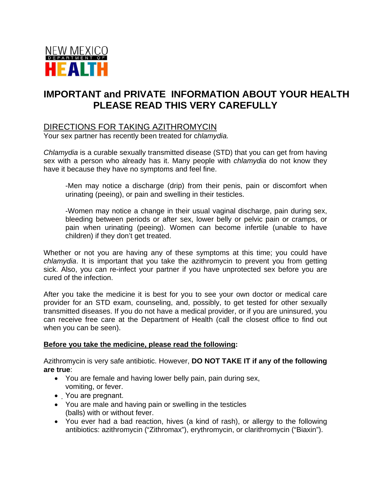

# **IMPORTANT and PRIVATE INFORMATION ABOUT YOUR HEALTH PLEASE READ THIS VERY CAREFULLY**

## DIRECTIONS FOR TAKING AZITHROMYCIN

Your sex partner has recently been treated for c*hlamydia.*

*Chlamydia* is a curable sexually transmitted disease (STD) that you can get from having sex with a person who already has it. Many people with *chlamydia* do not know they have it because they have no symptoms and feel fine.

-Men may notice a discharge (drip) from their penis, pain or discomfort when urinating (peeing), or pain and swelling in their testicles.

-Women may notice a change in their usual vaginal discharge, pain during sex, bleeding between periods or after sex, lower belly or pelvic pain or cramps, or pain when urinating (peeing). Women can become infertile (unable to have children) if they don't get treated.

Whether or not you are having any of these symptoms at this time; you could have *chlamydia*. It is important that you take the azithromycin to prevent you from getting sick. Also, you can re-infect your partner if you have unprotected sex before you are cured of the infection.

After you take the medicine it is best for you to see your own doctor or medical care provider for an STD exam, counseling, and, possibly, to get tested for other sexually transmitted diseases. If you do not have a medical provider, or if you are uninsured, you can receive free care at the Department of Health (call the closest office to find out when you can be seen).

#### **Before you take the medicine, please read the following:**

Azithromycin is very safe antibiotic. However, **DO NOT TAKE IT if any of the following are true**:

- You are female and having lower belly pain, pain during sex, vomiting, or fever.
- You are pregnant.
- You are male and having pain or swelling in the testicles (balls) with or without fever.
- You ever had a bad reaction, hives (a kind of rash), or allergy to the following antibiotics: azithromycin ("Zithromax"), erythromycin, or clarithromycin ("Biaxin").